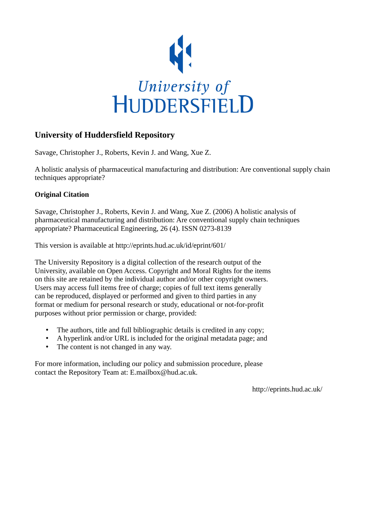

# **University of Huddersfield Repository**

Savage, Christopher J., Roberts, Kevin J. and Wang, Xue Z.

A holistic analysis of pharmaceutical manufacturing and distribution: Are conventional supply chain techniques appropriate?

## **Original Citation**

Savage, Christopher J., Roberts, Kevin J. and Wang, Xue Z. (2006) A holistic analysis of pharmaceutical manufacturing and distribution: Are conventional supply chain techniques appropriate? Pharmaceutical Engineering, 26 (4). ISSN 0273-8139

This version is available at http://eprints.hud.ac.uk/id/eprint/601/

The University Repository is a digital collection of the research output of the University, available on Open Access. Copyright and Moral Rights for the items on this site are retained by the individual author and/or other copyright owners. Users may access full items free of charge; copies of full text items generally can be reproduced, displayed or performed and given to third parties in any format or medium for personal research or study, educational or not-for-profit purposes without prior permission or charge, provided:

- The authors, title and full bibliographic details is credited in any copy;
- A hyperlink and/or URL is included for the original metadata page; and
- The content is not changed in any way.

For more information, including our policy and submission procedure, please contact the Repository Team at: E.mailbox@hud.ac.uk.

http://eprints.hud.ac.uk/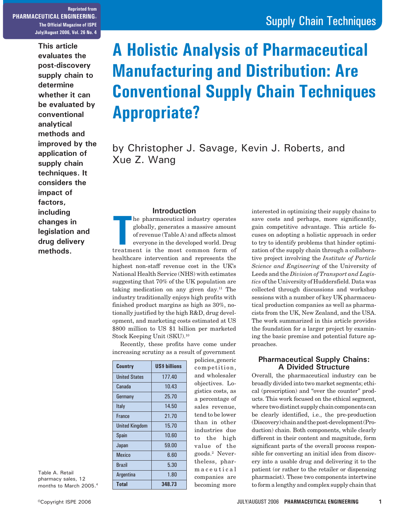**Reprinted from PHARMACEUTICAL ENGINEERING® The Official Magazine of ISPE July/August 2006, Vol. 26 No. 4**

> **This article evaluates the post-discovery supply chain to determine whether it can be evaluated by conventional analytical methods and improved by the application of supply chain techniques. It considers the impact of factors, including changes in legislation and drug delivery methods.**

# **A Holistic Analysis of Pharmaceutical Manufacturing and Distribution: Are Conventional Supply Chain Techniques Appropriate?**

by Christopher J. Savage, Kevin J. Roberts, and Xue Z. Wang

#### **Introduction**

**THEODICTION**<br>
The pharmaceutical industry operates<br>
globally, generates a massive amount<br>
of revenue (Table A) and affects almost<br>
everyone in the developed world. Drug<br>
treatment is the most common form of he pharmaceutical industry operates globally, generates a massive amount of revenue (Table A) and affects almost everyone in the developed world. Drug healthcare intervention and represents the highest non-staff revenue cost in the UK's National Health Service (NHS) with estimates suggesting that 70% of the UK population are taking medication on any given day.11 The industry traditionally enjoys high profits with finished product margins as high as 30%, notionally justified by the high R&D, drug development, and marketing costs estimated at US \$800 million to US \$1 billion per marketed Stock Keeping Unit (SKU).10

Recently, these profits have come under increasing scrutiny as a result of government

| <b>Country</b>        | <b>US\$ billions</b> |
|-----------------------|----------------------|
| <b>United States</b>  | 177.40               |
| Canada                | 10.43                |
| Germany               | 25.70                |
| Italy                 | 14.50                |
| <b>France</b>         | 21.70                |
| <b>United Kingdom</b> | 15.70                |
| <b>Spain</b>          | 10.60                |
| Japan                 | 59.00                |
| <b>Mexico</b>         | 6.60                 |
| <b>Brazil</b>         | 5.30                 |
| Argentina             | 1.80                 |
| Total                 | 348.73               |

policies, generic competition, and wholesaler objectives. Logistics costs, as a percentage of sales revenue, tend to be lower than in other industries due to the high value of the goods.2 Nevertheless, pharmaceutical companies are becoming more

interested in optimizing their supply chains to save costs and perhaps, more significantly, gain competitive advantage. This article focuses on adopting a holistic approach in order to try to identify problems that hinder optimization of the supply chain through a collaborative project involving the *Institute of Particle Science and Engineering* of the University of Leeds and the *Division of Transport and Logistics* of the University of Huddersfield. Data was collected through discussions and workshop sessions with a number of key UK pharmaceutical production companies as well as pharmacists from the UK, New Zealand, and the USA. The work summarized in this article provides the foundation for a larger project by examining the basic premise and potential future approaches.

#### **Pharmaceutical Supply Chains: A Divided Structure**

Overall, the pharmaceutical industry can be broadly divided into two market segments; ethical (prescription) and "over the counter" products. This work focused on the ethical segment, where two distinct supply chain components can be clearly identified, i.e., the pre-production (Discovery) chain and the post-development (Production) chain. Both components, while clearly different in their content and magnitude, form significant parts of the overall process responsible for converting an initial idea from discovery into a usable drug and delivering it to the patient (or rather to the retailer or dispensing pharmacist). These two components intertwine to form a lengthy and complex supply chain that

Table A. Retail pharmacy sales, 12 months to March 2005.4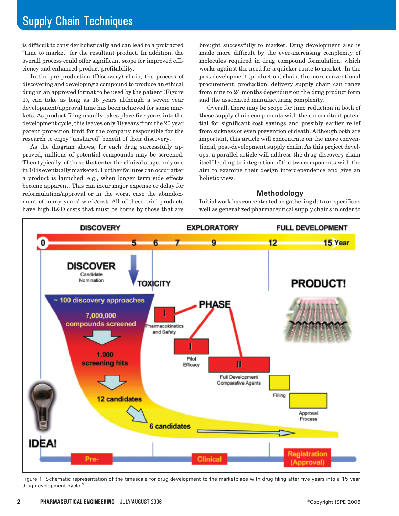is difficult to consider holistically and can lead to a protracted "time to market" for the resultant product. In addition, the overall process could offer significant scope for improved efficiency and enhanced product profitability.

In the pre-production (Discovery) chain, the process of discovering and developing a compound to produce an ethical drug in an approved format to be used by the patient (Figure 1), can take as long as 15 years although a seven year development/approval time has been achieved for some markets. As product filing usually takes place five years into the development cycle, this leaves only 10 years from the 20 year patent protection limit for the company responsible for the research to enjoy "unshared" benefit of their discovery.

As the diagram shows, for each drug successfully approved, millions of potential compounds may be screened. Then typically, of those that enter the clinical stage, only one in 10 is eventually marketed. Further failures can occur after a product is launched, e.g., when longer term side effects become apparent. This can incur major expense or delay for reformulation/approval or in the worst case the abandonment of many years' work/cost. All of these trial products have high R&D costs that must be borne by those that are

brought successfully to market. Drug development also is made more difficult by the ever-increasing complexity of molecules required in drug compound formulation, which works against the need for a quicker route to market. In the post-development (production) chain, the more conventional procurement, production, delivery supply chain can range from nine to 24 months depending on the drug product form and the associated manufacturing complexity.

Overall, there may be scope for time reduction in both of these supply chain components with the concomitant potential for significant cost savings and possibly earlier relief from sickness or even prevention of death. Although both are important, this article will concentrate on the more conventional, post-development supply chain. As this project develops, a parallel article will address the drug discovery chain itself leading to integration of the two components with the aim to examine their design interdependence and give an holistic view.

#### **Methodology**

Initial work has concentrated on gathering data on specific as well as generalized pharmaceutical supply chains in order to



Figure 1. Schematic representation of the timescale for drug development to the marketplace with drug filing after five years into a 15 year drug development cycle.3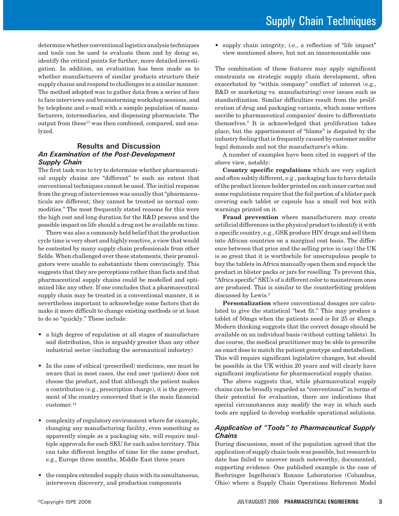determine whether conventional logistics analysis techniques and tools can be used to evaluate them and by doing so, identify the critical points for further, more detailed investigation. In addition, an evaluation has been made as to whether manufacturers of similar products structure their supply chains and respond to challenges in a similar manner. The method adopted was to gather data from a series of face to face interviews and brainstorming workshop sessions, and by telephone and e-mail with a sample population of manufacturers, intermediaries, and dispensing pharmacists. The output from these $^{11}$  was then combined, compared, and analyzed.

#### **Results and Discussion** *An Examination of the Post-Development Supply Chain*

The first task was to try to determine whether pharmaceutical supply chains are "different" to such an extent that conventional techniques cannot be used. The initial response from the group of interviewees was usually that "pharmaceuticals are different; they cannot be treated as normal commodities." The most frequently stated reasons for this were the high cost and long duration for the R&D process and the possible impact on life should a drug not be available on time.

There was also a commonly held belief that the production cycle time is very short and highly reactive, a view that would be contested by many supply chain professionals from other fields. When challenged over these statements, their promulgators were unable to substantiate them convincingly. This suggests that they are perceptions rather than facts and that pharmaceutical supply chains could be modelled and optimized like any other. If one concludes that a pharmaceutical supply chain may be treated in a conventional manner, it is nevertheless important to acknowledge some factors that do make it more difficult to change existing methods or at least to do so "quickly." These include:

- a high degree of regulation at all stages of manufacture and distribution, this is arguably greater than any other industrial sector (including the aeronautical industry)
- In the case of ethical (prescribed) medicines, one must be aware that in most cases, the end user (patient) does not choose the product, and that although the patient makes a contribution (e.g., prescription charge), it is the government of the country concerned that is the main financial customer.<sup>14</sup>
- complexity of regulatory environment where for example, changing any manufacturing facility, even something as apparently simple as a packaging site, will require multiple approvals for each SKU for each sales territory. This can take different lengths of time for the same product, e.g., Europe three months, Middle East three years
- the complex extended supply chain with its simultaneous, interwoven discovery, and production components

• supply chain integrity, i.e., a reflection of "life impact" view mentioned above, but not an insurmountable one

The combination of these features may apply significant constraints on strategic supply chain development, often exacerbated by "within company" conflict of interest (e.g., R&D or marketing vs. manufacturing) over issues such as standardization. Similar difficulties result from the proliferation of drug and packaging variants, which some writers ascribe to pharmaceutical companies' desire to differentiate themselves.5 It is acknowledged that proliferation takes place, but the apportionment of "blame" is disputed by the industry feeling that is frequently caused by customer and/or legal demands and not the manufacturer's whim.

A number of examples have been cited in support of the above view, notably:

**Country specific regulations** which are very explicit and often subtly different, e.g., packaging has to have details of the product licence holder printed on each inner carton and some regulations require that the foil portion of a blister pack covering each tablet or capsule has a small red box with warnings printed on it.

**Fraud prevention** where manufacturers may create artificial differences in the physical product to identify it with a specific country, e.g., GSK produce HIV drugs and sell them into African countries on a marginal cost basis. The difference between that price and the selling price in (say) the UK is so great that it is worthwhile for unscrupulous people to buy the tablets in Africa manually open them and repack the product in blister packs or jars for reselling. To prevent this, "Africa specific" SKUs of a different color to mainstream ones are produced. This is similar to the counterfeiting problem discussed by Lewis.2

**Personalization** where conventional dosages are calculated to give the statistical "best fit." This may produce a tablet of 50mgs when the patients need is for 25 or 45mgs. Modern thinking suggests that the correct dosage should be available on an individual basis (without cutting tablets). In due course, the medical practitioner may be able to prescribe an exact dose to match the patient genotype and metabolism. This will require significant legislative changes, but should be possible in the UK within 20 years and will clearly have significant implications for pharmaceutical supply chains.

The above suggests that, while pharmaceutical supply chains can be broadly regarded as "conventional" in terms of their potential for evaluation, there are indications that special circumstances may modify the way in which such tools are applied to develop workable operational solutions.

#### *Application of "Tools" to Pharmaceutical Supply Chains*

During discussions, most of the population agreed that the application of supply chain tools was possible, but research to date has failed to uncover much noteworthy, documented, supporting evidence. One published example is the case of Boehringer Ingelheim's Roxane Laboratories (Columbus, Ohio) where a Supply Chain Operations Reference Model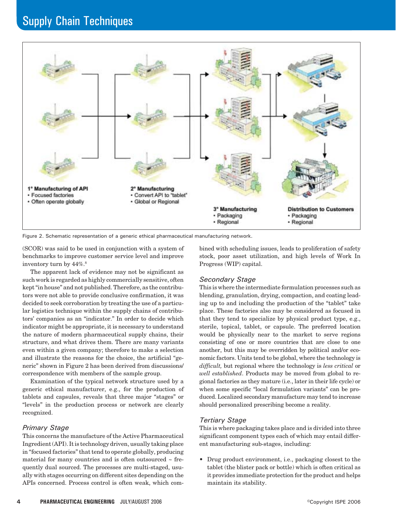

Figure 2. Schematic representation of a generic ethical pharmaceutical manufacturing network.

(SCOR) was said to be used in conjunction with a system of benchmarks to improve customer service level and improve inventory turn by  $44\%.$ <sup>8</sup>

The apparent lack of evidence may not be significant as such work is regarded as highly commercially sensitive, often kept "in house" and not published. Therefore, as the contributors were not able to provide conclusive confirmation, it was decided to seek corroboration by treating the use of a particular logistics technique within the supply chains of contributors' companies as an "indicator." In order to decide which indicator might be appropriate, it is necessary to understand the nature of modern pharmaceutical supply chains, their structure, and what drives them. There are many variants even within a given company; therefore to make a selection and illustrate the reasons for the choice, the artificial "generic" shown in Figure 2 has been derived from discussions/ correspondence with members of the sample group.

Examination of the typical network structure used by a generic ethical manufacturer, e.g., for the production of tablets and capsules, reveals that three major "stages" or "levels" in the production process or network are clearly recognized.

#### *Primary Stage*

This concerns the manufacture of the Active Pharmaceutical Ingredient (API). It is technology driven, usually taking place in "focused factories" that tend to operate globally, producing material for many countries and is often outsourced  $\sim$  frequently dual sourced. The processes are multi-staged, usually with stages occurring on different sites depending on the APIs concerned. Process control is often weak, which combined with scheduling issues, leads to proliferation of safety stock, poor asset utilization, and high levels of Work In Progress (WIP) capital.

#### *Secondary Stage*

This is where the intermediate formulation processes such as blending, granulation, drying, compaction, and coating leading up to and including the production of the "tablet" take place. These factories also may be considered as focused in that they tend to specialize by physical product type, e.g., sterile, topical, tablet, or capsule. The preferred location would be physically near to the market to serve regions consisting of one or more countries that are close to one another, but this may be overridden by political and/or economic factors. Units tend to be global, where the technology is *difficult,* but regional where the technology is *less critical* or *well established*. Products may be moved from global to regional factories as they mature (i.e., later in their life cycle) or when some specific "local formulation variants" can be produced. Localized secondary manufacture may tend to increase should personalized prescribing become a reality.

#### *Tertiary Stage*

This is where packaging takes place and is divided into three significant component types each of which may entail different manufacturing sub-stages, including:

• Drug product environment, i.e., packaging closest to the tablet (the blister pack or bottle) which is often critical as it provides immediate protection for the product and helps maintain its stability.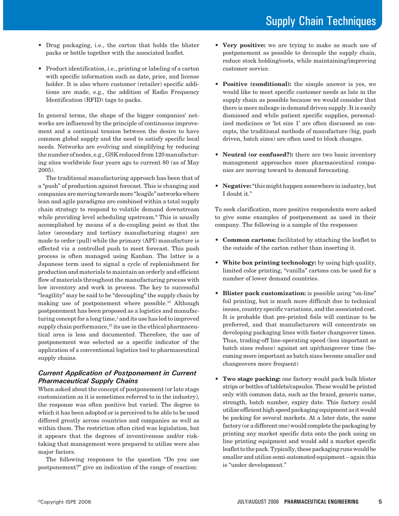- Drug packaging, i.e., the carton that holds the blister packs or bottle together with the associated leaflet.
- Product identification, i.e., printing or labeling of a carton with specific information such as date, price, and license holder. It is also where customer (retailer) specific additions are made, e.g., the addition of Radio Frequency Identification (RFID) tags to packs.

In general terms, the shape of the bigger companies' networks are influenced by the principle of continuous improvement and a continual tension between the desire to have common global supply and the need to satisfy specific local needs. Networks are evolving and simplifying by reducing the number of nodes, e.g., GSK reduced from 120 manufacturing sites worldwide four years ago to current 80 (as of May 2005).

The traditional manufacturing approach has been that of a "push" of production against forecast. This is changing and companies are moving towards more "leagile" networks where lean and agile paradigms are combined within a total supply chain strategy to respond to volatile demand downstream while providing level scheduling upstream.9 This is usually accomplished by means of a de-coupling point so that the later (secondary and tertiary manufacturing stages) are made to order (pull) while the primary (API) manufacture is effected via a controlled push to meet forecast. This push process is often managed using Kanban. The latter is a Japanese term used to signal a cycle of replenishment for production and materials to maintain an orderly and efficient flow of materials throughout the manufacturing process with low inventory and work in process. The key to successful "leagility" may be said to be "decoupling" the supply chain by making use of postponement where possible.<sup>13</sup> Although postponement has been proposed as a logistics and manufacturing concept for a long time,<sup>1</sup> and its use has led to improved supply chain performance,<sup>15</sup> its use in the ethical pharmaceutical area is less and documented. Therefore, the use of postponement was selected as a specific indicator of the application of a conventional logistics tool to pharmaceutical supply chains.

### *Current Application of Postponement in Current Pharmaceutical Supply Chains*

When asked about the concept of postponement (or late stage customization as it is sometimes referred to in the industry), the response was often positive but varied. The degree to which it has been adopted or is perceived to be able to be used differed greatly across countries and companies as well as within them. The restriction often cited was legislation, but it appears that the degrees of inventiveness and/or risktaking that management were prepared to utilize were also major factors.

The following responses to the question "Do you use postponement?" give an indication of the range of reaction:

- **Very positive:** we are trying to make as much use of postponement as possible to decouple the supply chain, reduce stock holding/costs, while maintaining/improving customer service.
- **Positive (conditional):** the simple answer is yes, we would like to meet specific customer needs as late in the supply chain as possible because we would consider that there is more mileage in demand driven supply. It is easily dismissed and while patient specific supplies, personalized medicines or 'lot size 1' are often discussed as concepts, the traditional methods of manufacture (big, push driven, batch sizes) are often used to block changes.
- **Neutral (or confused?):** there are two basic inventory management approaches more pharmaceutical companies are moving toward to demand forecasting.
- **Negative:** "this might happen somewhere in industry, but I doubt it."

To seek clarification, more positive respondents were asked to give some examples of postponement as used in their company. The following is a sample of the responses:

- **Common cartons:** facilitated by attaching the leaflet to the outside of the carton rather than inserting it.
- **White box printing technology:** by using high quality, limited color printing, "vanilla" cartons can be used for a number of lower demand countries.
- **Blister pack customization:** is possible using "on-line" foil printing, but is much more difficult due to technical issues, country specific variations, and the associated cost. It is probable that pre-printed foils will continue to be preferred, and that manufacturers will concentrate on developing packaging lines with faster changeover times. Thus, trading-off line-operating speed (less important as batch sizes reduce) against set up/changeover time (becoming more important as batch sizes become smaller and changeovers more frequent)
- **Two stage packing:** one factory would pack bulk blister strips or bottles of tablets/capsules. These would be printed only with common data, such as the brand, generic name, strength, batch number, expiry date. This factory could utilize efficient high speed packaging equipment as it would be packing for several markets. At a later date, the same factory (or a different one) would complete the packaging by printing any market specific data onto the pack using on line printing equipment and would add a market specific leaflet to the pack. Typically, these packaging runs would be smaller and utilize semi-automated equipment – again this is "under development."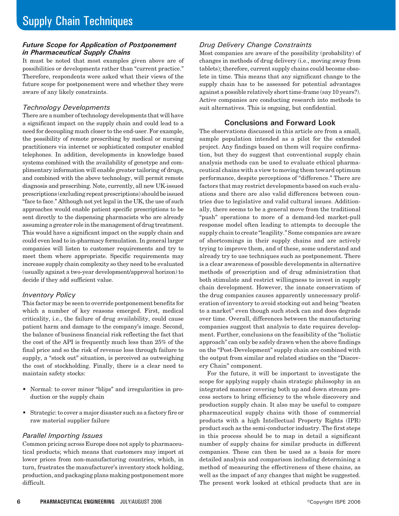#### *Future Scope for Application of Postponement in Pharmaceutical Supply Chains*

It must be noted that most examples given above are of possibilities or developments rather than "current practice." Therefore, respondents were asked what their views of the future scope for postponement were and whether they were aware of any likely constraints.

#### *Technology Developments*

There are a number of technology developments that will have a significant impact on the supply chain and could lead to a need for decoupling much closer to the end-user. For example, the possibility of remote prescribing by medical or nursing practitioners via internet or sophisticated computer enabled telephones. In addition, developments in knowledge based systems combined with the availability of genotype and complimentary information will enable greater tailoring of drugs, and combined with the above technology, will permit remote diagnosis and prescribing. Note, currently, all new UK-issued prescriptions (excluding repeat prescriptions) should be issued "face to face." Although not yet legal in the UK, the use of such approaches would enable patient specific prescriptions to be sent directly to the dispensing pharmacists who are already assuming a greater role in the management of drug treatment. This would have a significant impact on the supply chain and could even lead to in-pharmacy formulation. In general larger companies will listen to customer requirements and try to meet them where appropriate. Specific requirements may increase supply chain complexity so they need to be evaluated (usually against a two-year development/approval horizon) to decide if they add sufficient value.

#### *Inventory Policy*

This factor may be seen to override postponement benefits for which a number of key reasons emerged. First, medical criticality, i.e., the failure of drug availability, could cause patient harm and damage to the company's image. Second, the balance of business financial risk reflecting the fact that the cost of the API is frequently much less than 25% of the final price and so the risk of revenue loss through failure to supply, a "stock out" situation, is perceived as outweighing the cost of stockholding. Finally, there is a clear need to maintain safety stocks:

- Normal: to cover minor "blips" and irregularities in production or the supply chain
- Strategic: to cover a major disaster such as a factory fire or raw material supplier failure

#### *Parallel Importing Issues*

Common pricing across Europe does not apply to pharmaceutical products; which means that customers may import at lower prices from non-manufacturing countries, which, in turn, frustrates the manufacturer's inventory stock holding, production, and packaging plans making postponement more difficult.

### *Drug Delivery Change Constraints*

Most companies are aware of the possibility (probability) of changes in methods of drug delivery (i.e., moving away from tablets); therefore, current supply chains could become obsolete in time. This means that any significant change to the supply chain has to be assessed for potential advantages against a possible relatively short time-frame (say 10 years?). Active companies are conducting research into methods to suit alternatives. This is ongoing, but confidential.

### **Conclusions and Forward Look**

The observations discussed in this article are from a small, sample population intended as a pilot for the extended project. Any findings based on them will require confirmation, but they do suggest that conventional supply chain analysis methods can be used to evaluate ethical pharmaceutical chains with a view to moving them toward optimum performance, despite perceptions of "difference." There are factors that may restrict developments based on such evaluations and there are also valid differences between countries due to legislative and valid cultural issues. Additionally, there seems to be a general move from the traditional "push" operations to more of a demand-led market-pull response model often leading to attempts to decouple the supply chain to create "leagility." Some companies are aware of shortcomings in their supply chains and are actively trying to improve them, and of these, some understand and already try to use techniques such as postponement. There is a clear awareness of possible developments in alternative methods of prescription and of drug administration that both stimulate and restrict willingness to invest in supply chain development. However, the innate conservatism of the drug companies causes apparently unnecessary proliferation of inventory to avoid stocking out and being "beaten to a market" even though such stock can and does degrade over time. Overall, differences between the manufacturing companies suggest that analysis to date requires development. Further, conclusions on the feasibility of the "holistic approach" can only be safely drawn when the above findings on the "Post-Development" supply chain are combined with the output from similar and related studies on the "Discovery Chain" component.

For the future, it will be important to investigate the scope for applying supply chain strategic philosophy in an integrated manner covering both up and down stream process sectors to bring efficiency to the whole discovery and production supply chain. It also may be useful to compare pharmaceutical supply chains with those of commercial products with a high Intellectual Property Rights (IPR) product such as the semi-conductor industry. The first steps in this process should be to map in detail a significant number of supply chains for similar products in different companies. These can then be used as a basis for more detailed analysis and comparison including determining a method of measuring the effectiveness of these chains, as well as the impact of any changes that might be suggested. The present work looked at ethical products that are in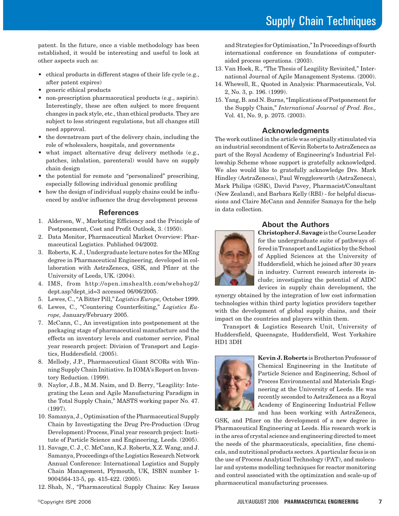patent. In the future, once a viable methodology has been established, it would be interesting and useful to look at other aspects such as:

- ethical products in different stages of their life cycle (e.g., after patent expires)
- generic ethical products
- non-prescription pharmaceutical products (e.g., aspirin). Interestingly, these are often subject to more frequent changes in pack style, etc., than ethical products. They are subject to less stringent regulations, but all changes still need approval.
- the downstream part of the delivery chain, including the role of wholesalers, hospitals, and governments
- what impact alternative drug delivery methods (e.g., patches, inhalation, parenteral) would have on supply chain design
- the potential for remote and "personalized" prescribing, especially following individual genomic profiling
- how the design of individual supply chains could be influenced by and/or influence the drug development process

#### **References**

- 1. Alderson, W., Marketing Efficiency and the Principle of Postponement, Cost and Profit Outlook, 3. (1950).
- 2. Data Monitor, Pharmaceutical Market Overview: Pharmaceutical Logistics. Published 04/2002.
- 3. Roberts, K. J., Undergraduate lecture notes for the MEng degree in Pharmaceutical Engineering, developed in collaboration with AstraZeneca, GSK, and Pfizer at the University of Leeds, UK. (2004).
- 4. IMS, from http://open.imshealth.com/webshop2/ dept.asp?dept\_id=3 accessed 06/06/2005.
- 5. Lewes, C., "A Bitter Pill," *Logistics Europe,* October 1999.
- 6. Lewes, C., "Countering Counterfeiting," *Logistics Europe,* January/February 2005.
- 7. McCann, C., An investigation into postponement at the packaging stage of pharmaceutical manufacture and the effects on inventory levels and customer service, Final year research project: Division of Transport and Logistics, Huddersfield. (2005).
- 8. Mellody, J.P., Pharmaceutical Giant SCORs with Winning Supply Chain Initiative. In IOMA's Report on Inventory Reduction. (1999).
- 9. Naylor, J.B., M.M. Naim, and D. Berry, "Leagility: Integrating the Lean and Agile Manufacturing Paradigm in the Total Supply Chain," MASTS working paper No. 47. (1997).
- 10. Samanya, J., Optimisation of the Pharmaceutical Supply Chain by Investigating the Drug Pre-Production (Drug Development) Process, Final year research project: Institute of Particle Science and Engineering, Leeds. (2005).
- 11. Savage, C. J., C. McCann, K.J. Roberts, X.Z. Wang, and J. Samanya, Proceedings of the Logistics Research Network Annual Conference: International Logistics and Supply Chain Management, Plymouth, UK, ISBN number 1- 9004564-13-5, pp. 415-422. (2005).
- 12. Shah, N., "Pharmaceutical Supply Chains: Key Issues

and Strategies for Optimisation," In Proceedings of fourth international conference on foundations of computeraided process operations. (2003).

- 13. Van Hoek, R., "The Thesis of Leagility Revisited," International Journal of Agile Management Systems. (2000).
- 14. Whewell, R., Quoted in Analysis: Pharmaceuticals, Vol. 2, No. 3, p. 196. (1999).
- 15. Yang, B. and N. Burns, "Implications of Postponement for the Supply Chain," *International Journal of Prod. Res.,* Vol. 41, No. 9, p. 2075. (2003).

#### **Acknowledgments**

The work outlined in the article was originally stimulated via an industrial secondment of Kevin Roberts to AstraZeneca as part of the Royal Academy of Engineering's Industrial Fellowship Scheme whose support is gratefully acknowledged. We also would like to gratefully acknowledge Drs. Mark Hindley (AstraZeneca), Paul Wregglesworth (AstraZeneca), Mark Philips (GSK), David Pavey, Pharmacist/Consultant (New Zealand), and Barbara Kelly (RBI) - for helpful discussions and Claire McCann and Jennifer Samaya for the help in data collection.



### **About the Authors**

**Christopher J. Savage** is the Course Leader for the undergraduate suite of pathways offered in Transport and Logistics by the School of Applied Sciences at the University of Huddersfield, which he joined after 30 years in industry. Current research interests include; investigating the potential of AIDC devices in supply chain development, the

synergy obtained by the integration of low cost information technologies within third party logistics providers together with the development of global supply chains, and their impact on the countries and players within them.

Transport & Logistics Research Unit, University of Huddersfield, Queensgate, Huddersfield, West Yorkshire HD1 3DH



**Kevin J. Roberts** is Brotherton Professor of Chemical Engineering in the Institute of Particle Science and Engineering, School of Process Environmental and Materials Engineering at the University of Leeds. He was recently seconded to AstraZeneca as a Royal Academy of Engineering Industrial Fellow and has been working with AstraZeneca,

GSK, and Pfizer on the development of a new degree in Pharmaceutical Engineering at Leeds. His research work is in the area of crystal science and engineering directed to meet the needs of the pharmaceuticals, specialities, fine chemicals, and nutritional products sectors. A particular focus is on the use of Process Analytical Technology (PAT), and molecular and systems modelling techniques for reactor monitoring and control associated with the optimization and scale-up of pharmaceutical manufacturing processes.